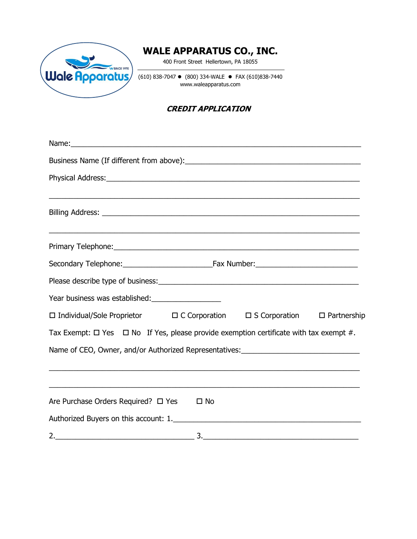

# **WALE APPARATUS CO., INC.**

400 Front Street Hellertown, PA 18055

 $(610) 838-7047$  (800) 334-WALE • FAX  $(610)838-7440$ www.waleapparatus.com

### **CREDIT APPLICATION**

| ,我们也不能在这里的时候,我们也不能在这里的时候,我们也不能不能不能不能不能不能不能不能不能不能不能不能不能不能不能。""我们的是我们的,我们也不能不能不能不能                 |  |  |
|--------------------------------------------------------------------------------------------------|--|--|
|                                                                                                  |  |  |
|                                                                                                  |  |  |
|                                                                                                  |  |  |
|                                                                                                  |  |  |
| Year business was established:                                                                   |  |  |
| □ Individual/Sole Proprietor □ C Corporation □ S Corporation □ Partnership                       |  |  |
| Tax Exempt: $\Box$ Yes $\Box$ No If Yes, please provide exemption certificate with tax exempt #. |  |  |
| Name of CEO, Owner, and/or Authorized Representatives: __________________________                |  |  |
|                                                                                                  |  |  |
| Are Purchase Orders Required? □ Yes □ No                                                         |  |  |
|                                                                                                  |  |  |
|                                                                                                  |  |  |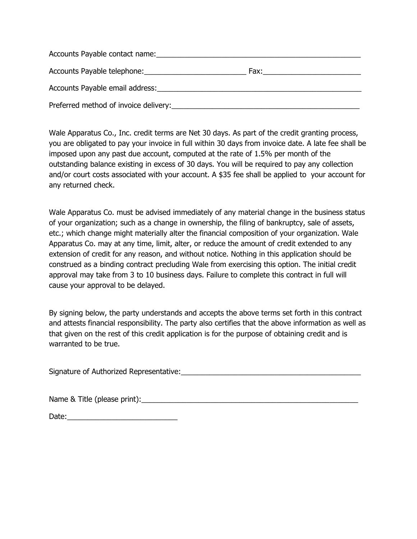| Accounts Payable contact name:        |      |  |
|---------------------------------------|------|--|
| Accounts Payable telephone:           | Fax: |  |
| Accounts Payable email address:       |      |  |
| Preferred method of invoice delivery: |      |  |

Wale Apparatus Co., Inc. credit terms are Net 30 days. As part of the credit granting process, you are obligated to pay your invoice in full within 30 days from invoice date. A late fee shall be imposed upon any past due account, computed at the rate of 1.5% per month of the outstanding balance existing in excess of 30 days. You will be required to pay any collection and/or court costs associated with your account. A \$35 fee shall be applied to your account for any returned check.

Wale Apparatus Co. must be advised immediately of any material change in the business status of your organization; such as a change in ownership, the filing of bankruptcy, sale of assets, etc.; which change might materially alter the financial composition of your organization. Wale Apparatus Co. may at any time, limit, alter, or reduce the amount of credit extended to any extension of credit for any reason, and without notice. Nothing in this application should be construed as a binding contract precluding Wale from exercising this option. The initial credit approval may take from 3 to 10 business days. Failure to complete this contract in full will cause your approval to be delayed.

By signing below, the party understands and accepts the above terms set forth in this contract and attests financial responsibility. The party also certifies that the above information as well as that given on the rest of this credit application is for the purpose of obtaining credit and is warranted to be true.

Signature of Authorized Representative:  $\Box$ 

Name & Title (please print): Name & Title (please print):